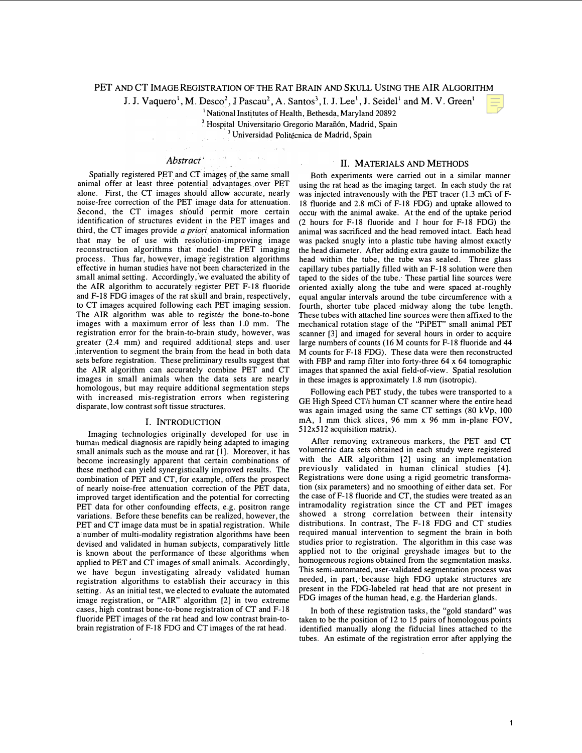### PET AND CT IMAGE REGISTRATION OF THE RAT BRAIN AND SKULL USING THE AIR ALGORITHM

J. J. Vaquero<sup>1</sup>, M. Desco<sup>2</sup>, J Pascau<sup>2</sup>, A. Santos<sup>3</sup>, I. J. Lee<sup>1</sup>, J. Seidel<sup>1</sup> and M. V. Green<sup>1</sup>

<sup>1</sup>National Institutes of Health, Bethesda, Maryland 20892

<sup>2</sup> Hospital Universitario Gregorio Marañón, Madrid, Spain , <sup>3</sup> Universidad Politécnica de Madrid, Spain

# Abstract<sup>4</sup> Abstract<sup>4</sup>

Spatially registered PET and CT images of the same small animal offer at least three potential advantages over PET alone. First, the CT images should' �lIow accurate, nearly Second, the CT images should permit more certain identification of structures evident in the PET images and third, the CT images provide *a priori* anatomical information that may be of use with resolution-improving image reconstruction algorithms that model the PET imaging process. Thus far, howeyer, image registration algorithms effective in human studies have not been characterized in the small animal setting. Accordingly, we evaluated the ability of the AIR algorithm to accurately register PET F-18 fluoride and F-18 FDG images of the rat skull and brain, respectively, to CT images acquired following each PET imaging session. The AIR algorithm was able to register the bone-to-bone images with a maximum error of less than 1.0 mm. The registration error for the brain-to-brain study, however, was greater (2.4 mm) and required additional steps and. user intervention to segment the brain from the head in both data sets before registration. These preliminary results suggest that the AIR algorithm can accurately combine PET and CT images in small animals when the data sets are nearly homologous, but may require additional segmentation steps disparate, low contrast soft tissue structures. noise-free correction of the PET image data for attenuation. with increased mis-registration errors when registering

## I. INTRODUCTION

 Imaging technologies originally developed for use in human medical diagnosis are rapidly being adapted to imaging small animals such as the mouse and rat [1]. Moreover, it has become increasingly apparent that certain combinations of these method can yield synergistically improved results. The combination of PET and CT, for example, offers the prospect of nearly noise-free attenuation correction of the PET data, improved target identification and the potential for correcting PET data for other confounding effects, e.g. positron range variations. Before these benefits can be realized, however, the a number of multi-modality registration algorithms have been devised and validated in human subjects, comparatively little is known about the performance of these algorithms when applied to PET and CT images of small animals. Accordingly, we have begun investigating already validated human registration algorithms to establish their accuracy in this setting. As an initial test, we elected to evaluate the automated image registration, or "AIR" algorithm [2] in two extreme cases, high contrast bone-to-bone registration of CT and F-18 fluoride PET images of the rat head and low contrast brain-to- brain registration of F-18 FDG and CT images of the rat head. PET and CT image data must be in spatial registration. While

#### II. MATERIALS AND METHODS

 Both experiments were carried out in a similar manner . using the rat head as the imaging target. In each study the rat was injected intravenously with the PET tracer (1.3 mCi of F- 18 fluoride and 2.8 mCi of F-18 FDG) and uptake allowed to occur with the animal awake. At the end of the uptake period (2 hours for F-18 fluoride and 1 hour for F-18 FDG) the animal was sacrificed and the head removed intact. Each head was packed snugly into a plastic tube having almost exactly the head diameter. After adding extra gauze to immobilize the head within the tube, the tube was sealed. Three glass capillary tubes partially filled with an F-18 solution were then taped to the sides of the tube. These partial line sources were oriented axially along the tube and were. spaced at roughly equal angular intervals around the tube circumference with a fourth, shorter tube placed midway along the tube length. These tubes with attached line sources were then affixed to the mechanical rotation stage of the "PiPET" small animal PET scanner [3] and imaged for several hours in order to acquire large numbers of counts (16 M counts for F-18 fluoride and 44 M counts for F-18 FDG). These data were then reconstructed images that spanned the axial field-of-view. Spatial resolution in these images is approximately 1.8 mm (isotropic). with FBP and ramp filter into forty-three 64 x 64 tomographic

 Following each PET study, the tubes were transported to a GE High Speed CT/i human CT scanner where the entire head was again imaged using the same CT settings (80 kVp, 100 512x512 acquisition matrix). mA, 1 mm thick slices, 96 mm x 96 mm in-plane FOV,

 After removing extraneous markers, the PET and CT volumetric data sets obtained in each study were registered with the AIR algorithm [2] using an implementation previously validated in human clinical studies [4]. Registrations were done using a rigid geometric transforma- tion (six parameters) and no smoothing of either data set. For the case of F-18 fluoride and CT, the studies were treated as an intramodality registration since the CT and PET images showed a strong correlation between their intensity distributions. In contrast, The F-18 FDG and CT studies required manual intervention to segment the brain in both studies prior to registration. The algorithm in this case was applied not to the original greyshade images but to the homogeneous regions obtained from the segmentation masks. This semi-automated, user-validated segmentation process was needed, in part,' because high FDG uptake structures are present in the FDG-Iabeled rat head that are not present in FDG images of the human head, e.g. the Harderian glands.

 In both of these registration tasks, the "gold standard" was taken to be the position of 12 to 15 pairs of homologous points identified manually along the fiducial lines attached to the tubes. An estimate of the registration error after applying the